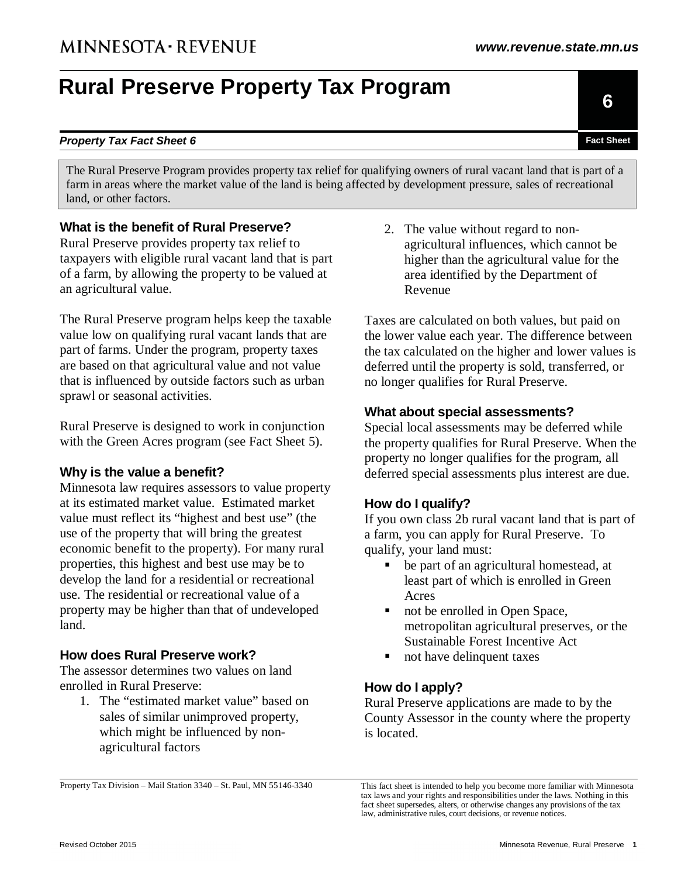# **Rural Preserve Property Tax Program**

Property Tax Division – Mail Station 3340 – St. Paul, MN 55146-3340

**What is the benefit of Rural Preserve?**  Rural Preserve provides property tax relief to taxpayers with eligible rural vacant land that is part 2. The value without regard to nonagricultural influences, which cannot be

**Property Tax Fact Sheet 6 Fact Sheet 6 Fact Sheet Fact Sheet Fact Sheet Fact Sheet Fact Sheet** 

The Rural Preserve Program provides property tax relief for qualifying owners of rural vacant land that is part of a farm in areas where the market value of the land is being affected by development pressure, sales of recreational

The Rural Preserve program helps keep the taxable value low on qualifying rural vacant lands that are part of farms. Under the program, property taxes are based on that agricultural value and not value that is influenced by outside factors such as urban

of a farm, by allowing the property to be valued at

Rural Preserve is designed to work in conjunction with the Green Acres program (see Fact Sheet 5).

#### **Why is the value a benefit?**

sprawl or seasonal activities.

an agricultural value.

land, or other factors.

Minnesota law requires assessors to value property at its estimated market value. Estimated market value must reflect its "highest and best use" (the use of the property that will bring the greatest economic benefit to the property). For many rural properties, this highest and best use may be to develop the land for a residential or recreational use. The residential or recreational value of a property may be higher than that of undeveloped land.

#### **How does Rural Preserve work?**

The assessor determines two values on land enrolled in Rural Preserve:

- 1. The "estimated market value" based on sales of similar unimproved property, which might be influenced by nonagricultural factors
- This fact sheet is intended to help you become more familiar with Minnesota tax laws and your rights and responsibilities under the laws. Nothing in this fact sheet supersedes, alters, or otherwise changes any provisions of the tax law, administrative rules, court decisions, or revenue notices.

Taxes are calculated on both values, but paid on the lower value each year. The difference between the tax calculated on the higher and lower values is deferred until the property is sold, transferred, or no longer qualifies for Rural Preserve.

#### **What about special assessments?**

Special local assessments may be deferred while the property qualifies for Rural Preserve. When the property no longer qualifies for the program, all deferred special assessments plus interest are due.

### **How do I qualify?**

If you own class 2b rural vacant land that is part of a farm, you can apply for Rural Preserve. To qualify, your land must:

- be part of an agricultural homestead, at least part of which is enrolled in Green Acres
- not be enrolled in Open Space, metropolitan agricultural preserves, or the Sustainable Forest Incentive Act
- not have delinquent taxes

### **How do I apply?**

Rural Preserve applications are made to by the County Assessor in the county where the property is located.